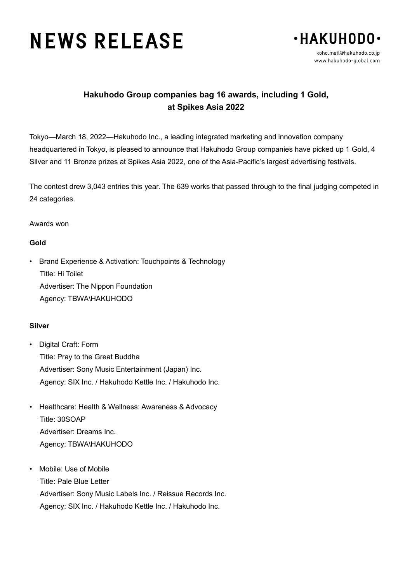# **NEWS RELEASE**



## **Hakuhodo Group companies bag 16 awards, including 1 Gold, at Spikes Asia 2022**

Tokyo—March 18, 2022—Hakuhodo Inc., a leading integrated marketing and innovation company headquartered in Tokyo, is pleased to announce that Hakuhodo Group companies have picked up 1 Gold, 4 Silver and 11 Bronze prizes at Spikes Asia 2022, one of the Asia-Pacific's largest advertising festivals.

The contest drew 3,043 entries this year. The 639 works that passed through to the final judging competed in 24 categories.

#### Awards won

#### **Gold**

• Brand Experience & Activation: Touchpoints & Technology Title: Hi Toilet Advertiser: The Nippon Foundation Agency: TBWA\HAKUHODO

### **Silver**

- Digital Craft: Form Title: Pray to the Great Buddha Advertiser: Sony Music Entertainment (Japan) Inc. Agency: SIX Inc. / Hakuhodo Kettle Inc. / Hakuhodo Inc.
- Healthcare: Health & Wellness: Awareness & Advocacy Title: 30SOAP Advertiser: Dreams Inc. Agency: TBWA\HAKUHODO
- Mobile: Use of Mobile Title: Pale Blue Letter Advertiser: Sony Music Labels Inc. / Reissue Records Inc. Agency: SIX Inc. / Hakuhodo Kettle Inc. / Hakuhodo Inc.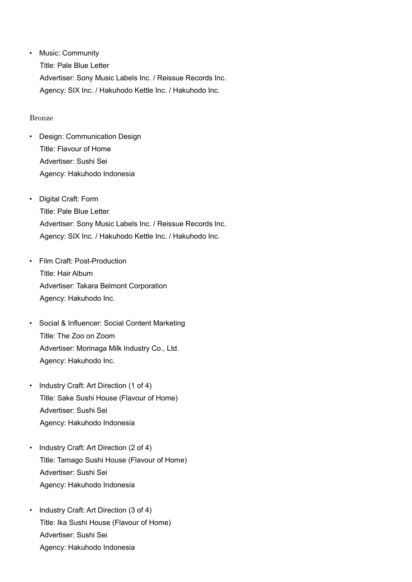• Music: Community Title: Pale Blue Letter Advertiser: Sony Music Labels Inc. / Reissue Records Inc. Agency: SIX Inc. / Hakuhodo Kettle Inc. / Hakuhodo Inc.

#### Bronze

- Design: Communication Design Title: Flavour of Home Advertiser: Sushi Sei Agency: Hakuhodo Indonesia
- Digital Craft: Form Title: Pale Blue Letter Advertiser: Sony Music Labels Inc. / Reissue Records Inc. Agency: SIX Inc. / Hakuhodo Kettle Inc. / Hakuhodo Inc.
- Film Craft: Post-Production Title: Hair Album Advertiser: Takara Belmont Corporation Agency: Hakuhodo Inc.
- Social & Influencer: Social Content Marketing Title: The Zoo on Zoom Advertiser: Morinaga Milk Industry Co., Ltd. Agency: Hakuhodo Inc.
- Industry Craft: Art Direction (1 of 4) Title: Sake Sushi House (Flavour of Home) Advertiser: Sushi Sei Agency: Hakuhodo Indonesia
- Industry Craft: Art Direction (2 of 4) Title: Tamago Sushi House (Flavour of Home) Advertiser: Sushi Sei Agency: Hakuhodo Indonesia
- Industry Craft: Art Direction (3 of 4) Title: Ika Sushi House (Flavour of Home) Advertiser: Sushi Sei Agency: Hakuhodo Indonesia